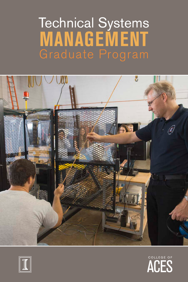# **MANAGEMENT** Technical Systems Graduate Program





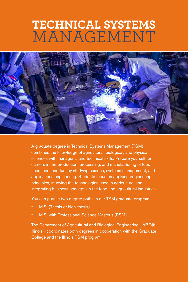## MANAGEMENT **TECHNICAL SYSTEMS**



A graduate degree in Technical Systems Management (TSM) combines the knowledge of agricultural, biological, and physical sciences with managerial and technical skills. Prepare yourself for careers in the production, processing, and manufacturing of food, fiber, feed, and fuel by studying science, systems management, and applications engineering. Students focus on applying engineering principles, studying the technologies used in agriculture, and integrating business concepts in the food and agricultural industries.

You can pursue two degree paths in our TSM graduate program:

- M.S. (Thesis or Non-thesis)
- M.S. with Professional Science Master's (PSM)

The Department of Agricultural and Biological Engineering—ABE@ Illinois—coordinates both degrees in cooperation with the Graduate College and the Illinois PSM program.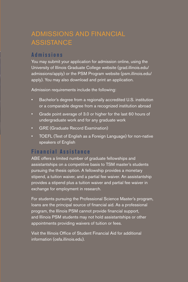## ADMISSIONS AND FINANCIAL ASSISTANCE

#### **Admissions**

You may submit your application for admission online, using the University of Illinois Graduate College website (grad.illinois.edu/ admissions/apply) or the PSM Program website (psm.illinois.edu/ apply). You may also download and print an application.

Admission requirements include the following:

- Bachelor's degree from a regionally accredited U.S. institution or a comparable degree from a recognized institution abroad
- Grade point average of 3.0 or higher for the last 60 hours of undergraduate work and for any graduate work
- GRE (Graduate Record Examination)
- TOEFL (Test of English as a Foreign Language) for non-native speakers of English

#### **Financial Assistance**

ABE offers a limited number of graduate fellowships and assistantships on a competitive basis to TSM master's students pursuing the thesis option. A fellowship provides a monetary stipend, a tuition waiver, and a partial fee waiver. An assistantship provides a stipend plus a tuition waiver and partial fee waiver in exchange for employment in research.

For students pursuing the Professional Science Master's program, loans are the principal source of financial aid. As a professional program, the Illinois PSM cannot provide financial support, and Illinois PSM students may not hold assistantships or other appointments providing waivers of tuition or fees.

Visit the Illinois Office of Student Financial Aid for additional information (osfa.illinois.edu).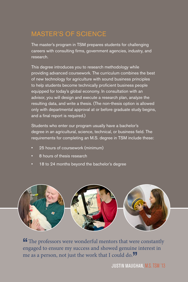## MASTER'S OF SCIENCE

The master's program in TSM prepares students for challenging careers with consulting firms, government agencies, industry, and research.

This degree introduces you to research methodology while providing advanced coursework. The curriculum combines the best of new technology for agriculture with sound business principles to help students become technically proficient business people equipped for today's global economy. In consultation with an advisor, you will design and execute a research plan, analyze the resulting data, and write a thesis. (The non-thesis option is allowed only with departmental approval at or before graduate study begins, and a final report is required.)

Students who enter our program usually have a bachelor's degree in an agricultural, science, technical, or business field. The requirements for completing an M.S. degree in TSM include these:

- 25 hours of coursework (minimum)
- 8 hours of thesis research
- 18 to 24 months beyond the bachelor's degree



**If** The professors were wonderful mentors that were constantly engaged to ensure my success and showed genuine interest in me as a person, not just the work that I could do. $\overline{''}$ 

JUSTIN MAUGHAN, M.S. TSM '13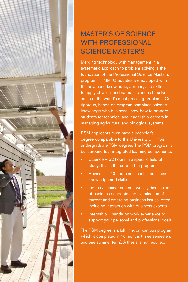

Merging technology with management in a systematic approach to problem-solving is the foundation of the Professional Science Master's program in TSM. Graduates are equipped with the advanced knowledge, abilities, and skills to apply physical and natural sciences to solve some of the world's most pressing problems. Our rigorous, hands-on program combines science knowledge with business know-how to prepare students for technical and leadership careers in managing agricultural and biological systems.

PSM applicants must have a bachelor's degree comparable to the University of Illinois undergraduate TSM degree. The PSM program is built around four integrated learning components:

- Science  $-32$  hours in a specific field of study; this is the core of the program
- Business 10 hours in essential business knowledge and skills
- Industry seminar series weekly discussion of business concepts and examination of current and emerging business issues, often including interaction with business experts
- Internship hands-on work experience to support your personal and professional goals

The PSM degree is a full-time, on-campus program which is completed in 16 months (three semesters and one summer term). A thesis is not required.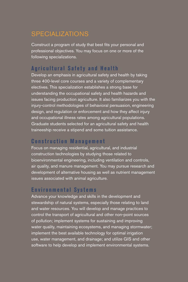### SPECIALIZATIONS

Construct a program of study that best fits your personal and professional objectives. You may focus on one or more of the following specializations.

#### **Agricultural Safety and Health**

Develop an emphasis in agricultural safety and health by taking three 400-level core courses and a variety of complementary electives. This specialization establishes a strong base for understanding the occupational safety and health hazards and issues facing production agriculture. It also familiarizes you with the injury-control methodologies of behavioral persuasion, engineering design, and regulation or enforcement and how they affect injury and occupational illness rates among agricultural populations. Graduate students selected for an agricultural safety and health traineeship receive a stipend and some tuition assistance.

#### **Construction Management**

Focus on managing residential, agricultural, and industrial construction technologies by studying those related to bioenvironmental engineering, including ventilation and controls, air quality, and manure management. You may pursue research and development of alternative housing as well as nutrient management issues associated with animal agriculture.

#### **Environmental Systems**

Advance your knowledge and skills in the development and stewardship of natural systems, especially those relating to land and water resources. You will develop and manage practices to control the transport of agricultural and other non-point sources of pollution; implement systems for sustaining and improving water quality, maintaining ecosystems, and managing stormwater; implement the best available technology for optimal irrigation use, water management, and drainage; and utilize GIS and other software to help develop and implement environmental systems.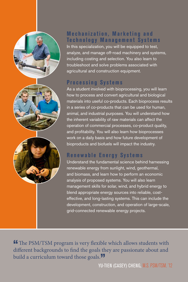





#### **Mechanization, Marketing and Technology Management Systems**

In this specialization, you will be equipped to test, analyze, and manage off-road machinery and systems, including costing and selection. You also learn to troubleshoot and solve problems associated with agricultural and construction equipment.

#### **Processing Systems**

As a student involved with bioprocessing, you will learn how to process and convert agricultural and biological materials into useful co-products. Each bioprocess results in a series of co-products that can be used for human, animal, and industrial purposes. You will understand how the inherent variability of raw materials can affect the operation of commercial processes, co-product quality, and profitability. You will also learn how bioprocesses work on a daily basis and how future development of bioproducts and biofuels will impact the industry.

#### **Renewable Energy Systems**

Understand the fundamental science behind harnessing renewable energy from sunlight, wind, geothermal, and biomass, and learn how to perform an economic analysis of proposed systems. You will also learn management skills for solar, wind, and hybrid energy to blend appropriate energy sources into reliable, costeffective, and long-lasting systems. This can include the development, construction, and operation of large-scale, grid-connected renewable energy projects.

**"The PSM/TSM program is very flexible which allows students with** different backgrounds to find the goals they are passionate about and build a curriculum toward those goals.<sup>"</sup>